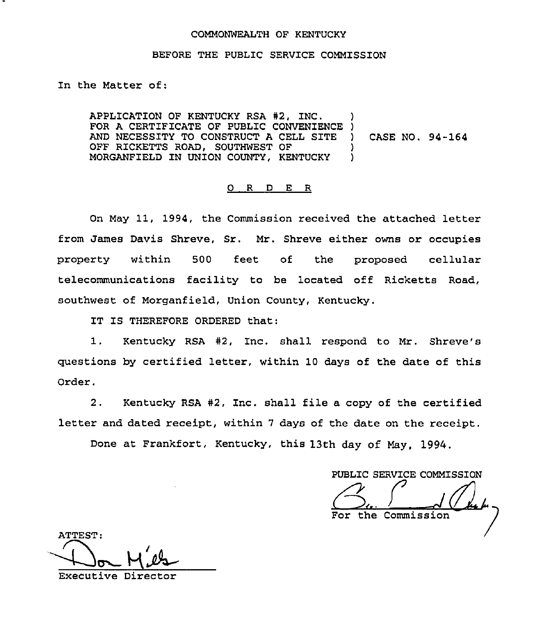## COMMONWEALTH OF KENTUCKY

### BEFORE THE PUBLIC SERVICE COMMISSION

In the Matter of:

APPLICATION OF KENTUCKY RSA #2, INC. APPLICATION OF RENTUCKI RSA #2, INC.<br>FOR A CERTIFICATE OF PUBLIC CONVENIENCE ) AND NECESSITY TO CONSTRUCT A CELL SITE ) CASE NO. 94-164 OFF RICKETTS ROAD, SOUTHWEST OF MORGANFIELD IN UNION COUNTY, KENTUCKY ) ) )

#### 0 <sup>R</sup> <sup>D</sup> E R

On May 11, 1994, the Commission received the attached letter from James Davis Shreve, Sr. Mr. Shreve either owns or occupies property within 500 feet of the proposed cellular telecommunications facility to be located off Ricketts Road, southwest of Morganfield, Union County, Kentucky.

IT IS THEREFORE ORDERED that:

1. Kentucky RSA #2, Inc. shall respond to Mr. Shreve's questions by certified letter, within 10 days of the date of this Order.

2. Kentucky RSA #2, Inc. shall file a copy of the certified letter and dated receipt, within <sup>7</sup> days of the date on the receipt.

Done at Frankfort, Kentucky, this 13th day of May, 1994,

PUBLIC SERVICE COMMISSION (2).<br>For the Commission

ATTEST:  $M'$ es Executive Director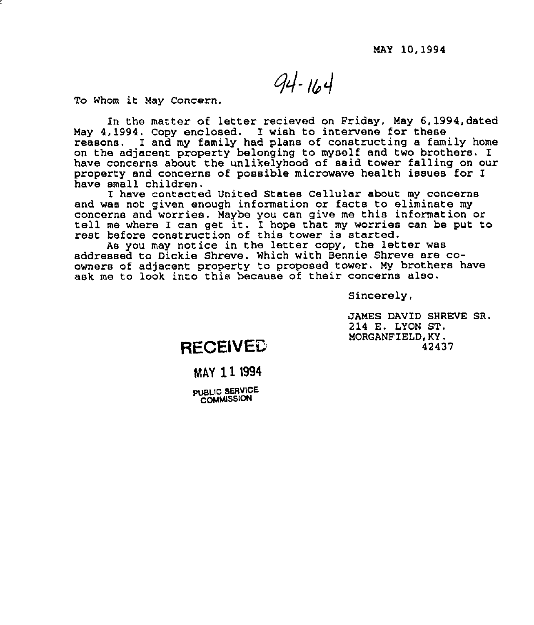$94 - 164$ 

To Whom it May Concern,

In the matter of letter recisved on Friday, May 6,1994,dated May 4,1994, Copy enclosed. I wish to intervene for these reasons. I and my family had plans of constructing a family home on the adjacent property belonging to myself and two brothers. I have concerns about the unlikslyhood of said tower falling on our property and concerns of possible microwave health issues for I have small children.

I have contacted United States Cellular about my concerns and was not given enough information or facts to eliminate my<br>concerns and worries. Maybe you can give me this information or tell me where I can get it. I hope that my worries can be put to rest before construction of this tower is started.

As you may notice in the letter copy, the letter was addressed to Dickie Shreve. Which with Bennie Shreve are coowners of adjacent property to proposed tower. My brothers have ask me to look into this because of their concerns also.

Sincerely,

JAMES DAVID SHREVE SR. 214 E. LYON ST, MORGANFIELD,KY, 42437

# **RECEIVED**

# MAY 111994

**PUBLIC SERVICE COMMISSION**